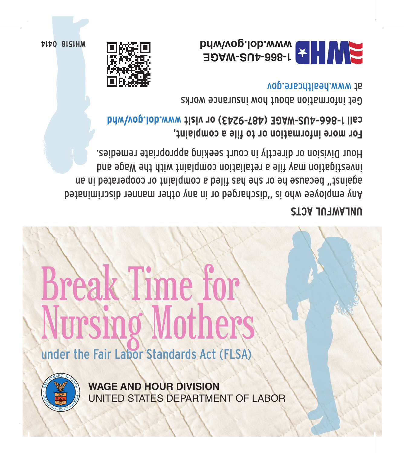

**WAGE AND HOUR DIVISION** UNITED STATES DEPARTMENT OF LABOR

## Nursing Mothers under the Fair Labor Standards Act (FLSA)

Break Time for

## **UNLAWFUL ACTS**

Any employee who is "discharged or in any other manner discriminated against" because he or she has filed a complaint or cooperated in an investigation may file a retaliation complaint with the Wage and Hour Division or directly in court seeking appropriate remedies.

**For more information or to file a complaint, www.dol.gov/whd call 1-866-4US-WAGE (487-9243) or visit** 

Get information about how insurance works www.healthcare.gov



**0414 WH1518**

**1-866-4US-WAGE www.dol.gov/whd**